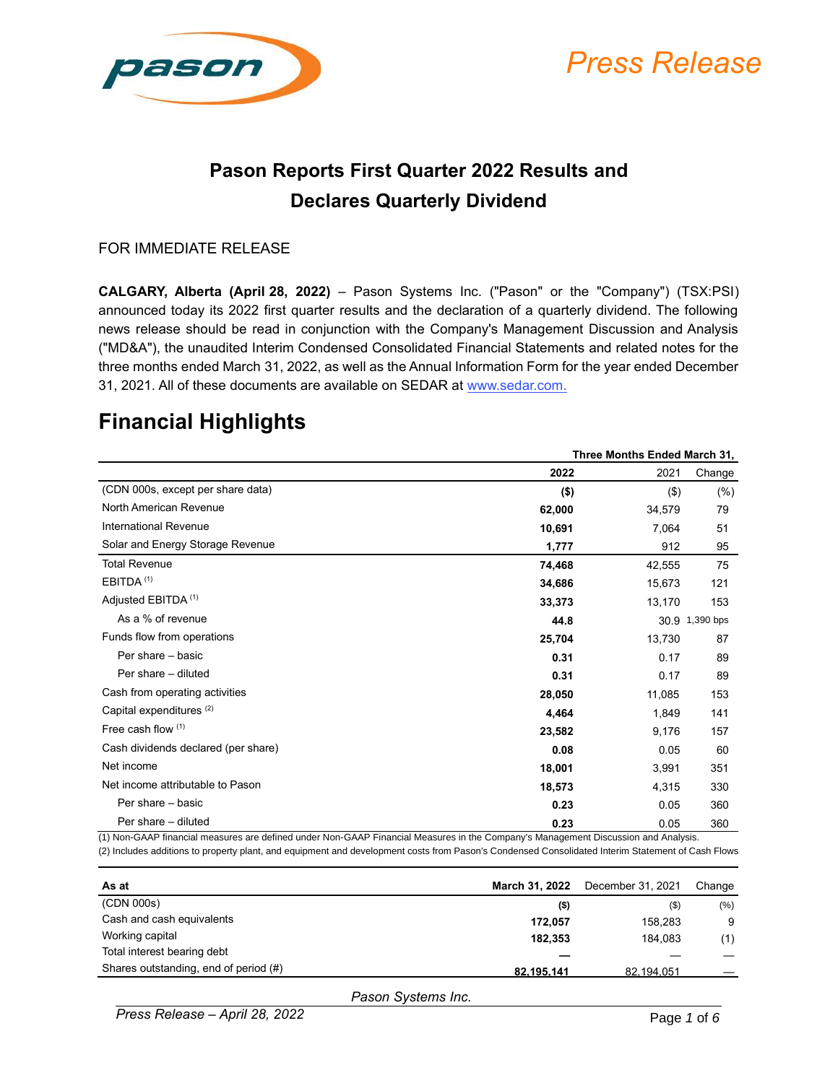

# *Press Release*

#### **Pason Reports First Quarter 2022 Results and Declares Quarterly Dividend**

#### FOR IMMEDIATE RELEASE

**CALGARY, Alberta (April 28, 2022)** – Pason Systems Inc. ("Pason" or the "Company") (TSX:PSI) announced today its 2022 first quarter results and the declaration of a quarterly dividend. The following news release should be read in conjunction with the Company's Management Discussion and Analysis ("MD&A"), the unaudited Interim Condensed Consolidated Financial Statements and related notes for the three months ended March 31, 2022, as well as the Annual Information Form for the year ended December 31, 2021. All of these documents are available on SEDAR at www.sedar.com.

#### **Financial Highlights**

|                                     | Three Months Ended March 31, |         |                |
|-------------------------------------|------------------------------|---------|----------------|
|                                     | 2022                         | 2021    | Change         |
| (CDN 000s, except per share data)   | $($ \$)                      | $($ \$) | (% )           |
| North American Revenue              | 62,000                       | 34,579  | 79             |
| <b>International Revenue</b>        | 10,691                       | 7,064   | 51             |
| Solar and Energy Storage Revenue    | 1,777                        | 912     | 95             |
| <b>Total Revenue</b>                | 74,468                       | 42,555  | 75             |
| EBITDA <sup>(1)</sup>               | 34,686                       | 15,673  | 121            |
| Adjusted EBITDA <sup>(1)</sup>      | 33,373                       | 13,170  | 153            |
| As a % of revenue                   | 44.8                         |         | 30.9 1,390 bps |
| Funds flow from operations          | 25,704                       | 13,730  | 87             |
| Per share - basic                   | 0.31                         | 0.17    | 89             |
| Per share - diluted                 | 0.31                         | 0.17    | 89             |
| Cash from operating activities      | 28,050                       | 11,085  | 153            |
| Capital expenditures <sup>(2)</sup> | 4,464                        | 1,849   | 141            |
| Free cash flow $(1)$                | 23,582                       | 9,176   | 157            |
| Cash dividends declared (per share) | 0.08                         | 0.05    | 60             |
| Net income                          | 18,001                       | 3,991   | 351            |
| Net income attributable to Pason    | 18,573                       | 4,315   | 330            |
| Per share - basic                   | 0.23                         | 0.05    | 360            |
| Per share - diluted                 | 0.23                         | 0.05    | 360            |

(1) Non-GAAP financial measures are defined under Non-GAAP Financial Measures in the Company's Management Discussion and Analysis. (2) Includes additions to property plant, and equipment and development costs from Pason's Condensed Consolidated Interim Statement of Cash Flows

| As at                                 | March 31, 2022 | December 31, 2021 | Change  |
|---------------------------------------|----------------|-------------------|---------|
| (CDN 000s)                            | $($ \$)        | $($ \$)           | $(\% )$ |
| Cash and cash equivalents             | 172.057        | 158,283           | 9       |
| Working capital                       | 182.353        | 184.083           | (1)     |
| Total interest bearing debt           |                |                   |         |
| Shares outstanding, end of period (#) | 82,195,141     | 82,194,051        |         |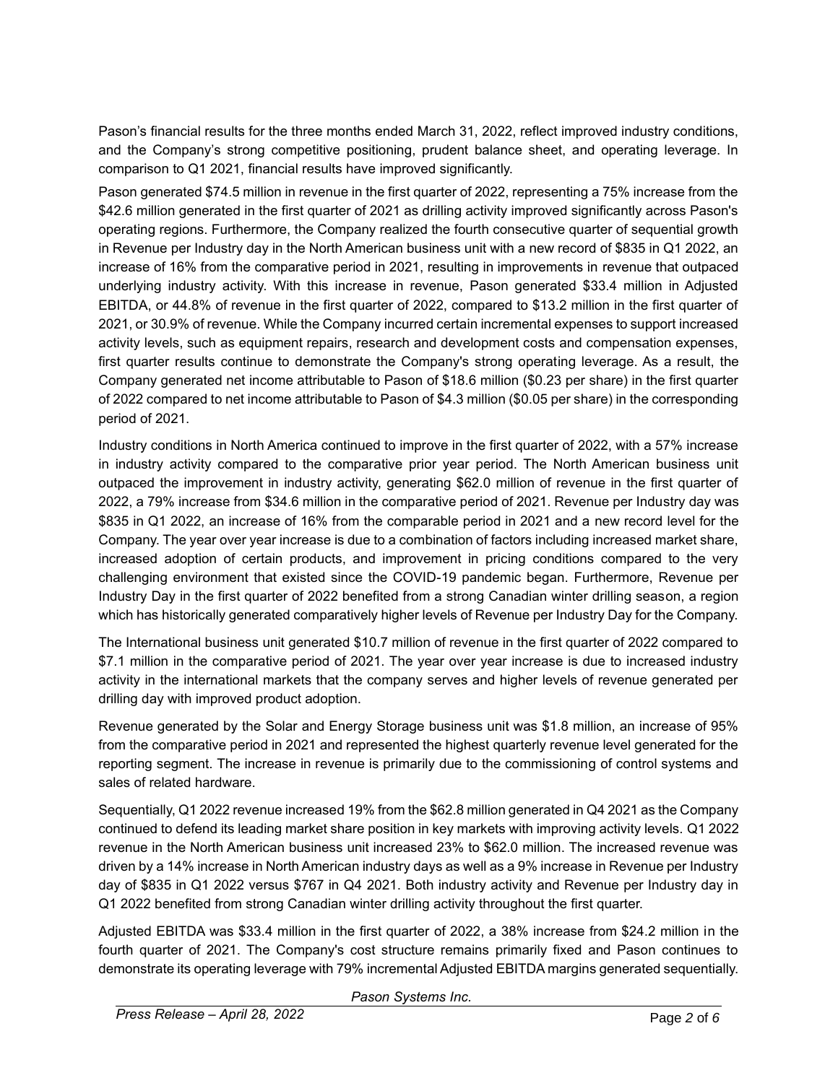Pason's financial results for the three months ended March 31, 2022, reflect improved industry conditions, and the Company's strong competitive positioning, prudent balance sheet, and operating leverage. In comparison to Q1 2021, financial results have improved significantly.

Pason generated \$74.5 million in revenue in the first quarter of 2022, representing a 75% increase from the \$42.6 million generated in the first quarter of 2021 as drilling activity improved significantly across Pason's operating regions. Furthermore, the Company realized the fourth consecutive quarter of sequential growth in Revenue per Industry day in the North American business unit with a new record of \$835 in Q1 2022, an increase of 16% from the comparative period in 2021, resulting in improvements in revenue that outpaced underlying industry activity. With this increase in revenue, Pason generated \$33.4 million in Adjusted EBITDA, or 44.8% of revenue in the first quarter of 2022, compared to \$13.2 million in the first quarter of 2021, or 30.9% of revenue. While the Company incurred certain incremental expenses to support increased activity levels, such as equipment repairs, research and development costs and compensation expenses, first quarter results continue to demonstrate the Company's strong operating leverage. As a result, the Company generated net income attributable to Pason of \$18.6 million (\$0.23 per share) in the first quarter of 2022 compared to net income attributable to Pason of \$4.3 million (\$0.05 per share) in the corresponding period of 2021.

Industry conditions in North America continued to improve in the first quarter of 2022, with a 57% increase in industry activity compared to the comparative prior year period. The North American business unit outpaced the improvement in industry activity, generating \$62.0 million of revenue in the first quarter of 2022, a 79% increase from \$34.6 million in the comparative period of 2021. Revenue per Industry day was \$835 in Q1 2022, an increase of 16% from the comparable period in 2021 and a new record level for the Company. The year over year increase is due to a combination of factors including increased market share, increased adoption of certain products, and improvement in pricing conditions compared to the very challenging environment that existed since the COVID-19 pandemic began. Furthermore, Revenue per Industry Day in the first quarter of 2022 benefited from a strong Canadian winter drilling season, a region which has historically generated comparatively higher levels of Revenue per Industry Day for the Company.

The International business unit generated \$10.7 million of revenue in the first quarter of 2022 compared to \$7.1 million in the comparative period of 2021. The year over year increase is due to increased industry activity in the international markets that the company serves and higher levels of revenue generated per drilling day with improved product adoption.

Revenue generated by the Solar and Energy Storage business unit was \$1.8 million, an increase of 95% from the comparative period in 2021 and represented the highest quarterly revenue level generated for the reporting segment. The increase in revenue is primarily due to the commissioning of control systems and sales of related hardware.

Sequentially, Q1 2022 revenue increased 19% from the \$62.8 million generated in Q4 2021 as the Company continued to defend its leading market share position in key markets with improving activity levels. Q1 2022 revenue in the North American business unit increased 23% to \$62.0 million. The increased revenue was driven by a 14% increase in North American industry days as well as a 9% increase in Revenue per Industry day of \$835 in Q1 2022 versus \$767 in Q4 2021. Both industry activity and Revenue per Industry day in Q1 2022 benefited from strong Canadian winter drilling activity throughout the first quarter.

Adjusted EBITDA was \$33.4 million in the first quarter of 2022, a 38% increase from \$24.2 million in the fourth quarter of 2021. The Company's cost structure remains primarily fixed and Pason continues to demonstrate its operating leverage with 79% incremental Adjusted EBITDA margins generated sequentially.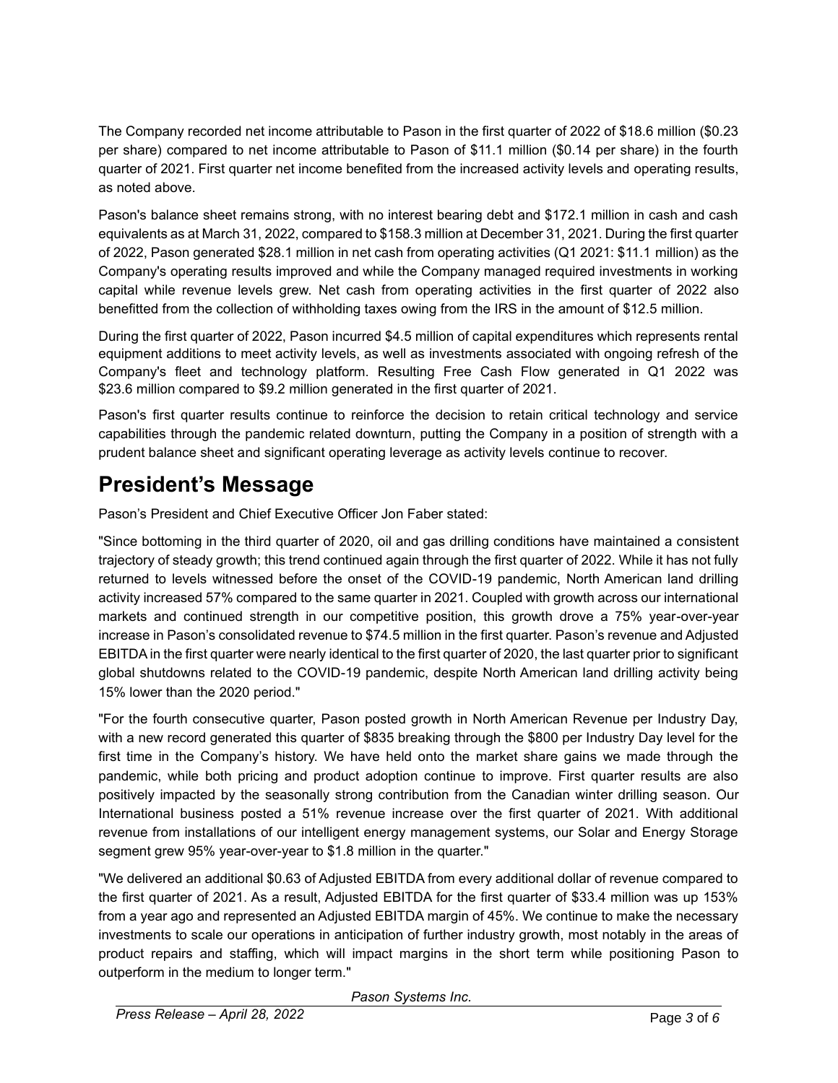The Company recorded net income attributable to Pason in the first quarter of 2022 of \$18.6 million (\$0.23 per share) compared to net income attributable to Pason of \$11.1 million (\$0.14 per share) in the fourth quarter of 2021. First quarter net income benefited from the increased activity levels and operating results, as noted above.

Pason's balance sheet remains strong, with no interest bearing debt and \$172.1 million in cash and cash equivalents as at March 31, 2022, compared to \$158.3 million at December 31, 2021. During the first quarter of 2022, Pason generated \$28.1 million in net cash from operating activities (Q1 2021: \$11.1 million) as the Company's operating results improved and while the Company managed required investments in working capital while revenue levels grew. Net cash from operating activities in the first quarter of 2022 also benefitted from the collection of withholding taxes owing from the IRS in the amount of \$12.5 million.

During the first quarter of 2022, Pason incurred \$4.5 million of capital expenditures which represents rental equipment additions to meet activity levels, as well as investments associated with ongoing refresh of the Company's fleet and technology platform. Resulting Free Cash Flow generated in Q1 2022 was \$23.6 million compared to \$9.2 million generated in the first quarter of 2021.

Pason's first quarter results continue to reinforce the decision to retain critical technology and service capabilities through the pandemic related downturn, putting the Company in a position of strength with a prudent balance sheet and significant operating leverage as activity levels continue to recover.

### **President's Message**

Pason's President and Chief Executive Officer Jon Faber stated:

"Since bottoming in the third quarter of 2020, oil and gas drilling conditions have maintained a consistent trajectory of steady growth; this trend continued again through the first quarter of 2022. While it has not fully returned to levels witnessed before the onset of the COVID-19 pandemic, North American land drilling activity increased 57% compared to the same quarter in 2021. Coupled with growth across our international markets and continued strength in our competitive position, this growth drove a 75% year-over-year increase in Pason's consolidated revenue to \$74.5 million in the first quarter. Pason's revenue and Adjusted EBITDA in the first quarter were nearly identical to the first quarter of 2020, the last quarter prior to significant global shutdowns related to the COVID-19 pandemic, despite North American land drilling activity being 15% lower than the 2020 period."

"For the fourth consecutive quarter, Pason posted growth in North American Revenue per Industry Day, with a new record generated this quarter of \$835 breaking through the \$800 per Industry Day level for the first time in the Company's history. We have held onto the market share gains we made through the pandemic, while both pricing and product adoption continue to improve. First quarter results are also positively impacted by the seasonally strong contribution from the Canadian winter drilling season. Our International business posted a 51% revenue increase over the first quarter of 2021. With additional revenue from installations of our intelligent energy management systems, our Solar and Energy Storage segment grew 95% year-over-year to \$1.8 million in the quarter."

"We delivered an additional \$0.63 of Adjusted EBITDA from every additional dollar of revenue compared to the first quarter of 2021. As a result, Adjusted EBITDA for the first quarter of \$33.4 million was up 153% from a year ago and represented an Adjusted EBITDA margin of 45%. We continue to make the necessary investments to scale our operations in anticipation of further industry growth, most notably in the areas of product repairs and staffing, which will impact margins in the short term while positioning Pason to outperform in the medium to longer term."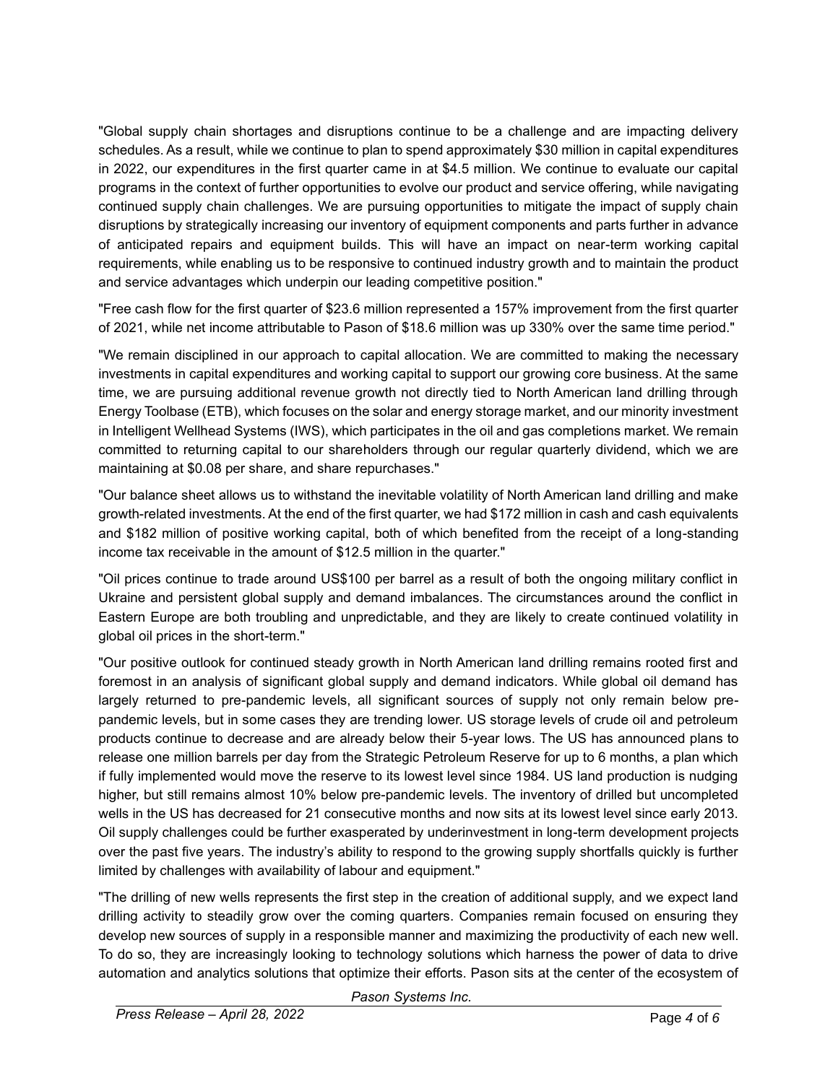"Global supply chain shortages and disruptions continue to be a challenge and are impacting delivery schedules. As a result, while we continue to plan to spend approximately \$30 million in capital expenditures in 2022, our expenditures in the first quarter came in at \$4.5 million. We continue to evaluate our capital programs in the context of further opportunities to evolve our product and service offering, while navigating continued supply chain challenges. We are pursuing opportunities to mitigate the impact of supply chain disruptions by strategically increasing our inventory of equipment components and parts further in advance of anticipated repairs and equipment builds. This will have an impact on near-term working capital requirements, while enabling us to be responsive to continued industry growth and to maintain the product and service advantages which underpin our leading competitive position."

"Free cash flow for the first quarter of \$23.6 million represented a 157% improvement from the first quarter of 2021, while net income attributable to Pason of \$18.6 million was up 330% over the same time period."

"We remain disciplined in our approach to capital allocation. We are committed to making the necessary investments in capital expenditures and working capital to support our growing core business. At the same time, we are pursuing additional revenue growth not directly tied to North American land drilling through Energy Toolbase (ETB), which focuses on the solar and energy storage market, and our minority investment in Intelligent Wellhead Systems (IWS), which participates in the oil and gas completions market. We remain committed to returning capital to our shareholders through our regular quarterly dividend, which we are maintaining at \$0.08 per share, and share repurchases."

"Our balance sheet allows us to withstand the inevitable volatility of North American land drilling and make growth-related investments. At the end of the first quarter, we had \$172 million in cash and cash equivalents and \$182 million of positive working capital, both of which benefited from the receipt of a long-standing income tax receivable in the amount of \$12.5 million in the quarter."

"Oil prices continue to trade around US\$100 per barrel as a result of both the ongoing military conflict in Ukraine and persistent global supply and demand imbalances. The circumstances around the conflict in Eastern Europe are both troubling and unpredictable, and they are likely to create continued volatility in global oil prices in the short-term."

"Our positive outlook for continued steady growth in North American land drilling remains rooted first and foremost in an analysis of significant global supply and demand indicators. While global oil demand has largely returned to pre-pandemic levels, all significant sources of supply not only remain below prepandemic levels, but in some cases they are trending lower. US storage levels of crude oil and petroleum products continue to decrease and are already below their 5-year lows. The US has announced plans to release one million barrels per day from the Strategic Petroleum Reserve for up to 6 months, a plan which if fully implemented would move the reserve to its lowest level since 1984. US land production is nudging higher, but still remains almost 10% below pre-pandemic levels. The inventory of drilled but uncompleted wells in the US has decreased for 21 consecutive months and now sits at its lowest level since early 2013. Oil supply challenges could be further exasperated by underinvestment in long-term development projects over the past five years. The industry's ability to respond to the growing supply shortfalls quickly is further limited by challenges with availability of labour and equipment."

"The drilling of new wells represents the first step in the creation of additional supply, and we expect land drilling activity to steadily grow over the coming quarters. Companies remain focused on ensuring they develop new sources of supply in a responsible manner and maximizing the productivity of each new well. To do so, they are increasingly looking to technology solutions which harness the power of data to drive automation and analytics solutions that optimize their efforts. Pason sits at the center of the ecosystem of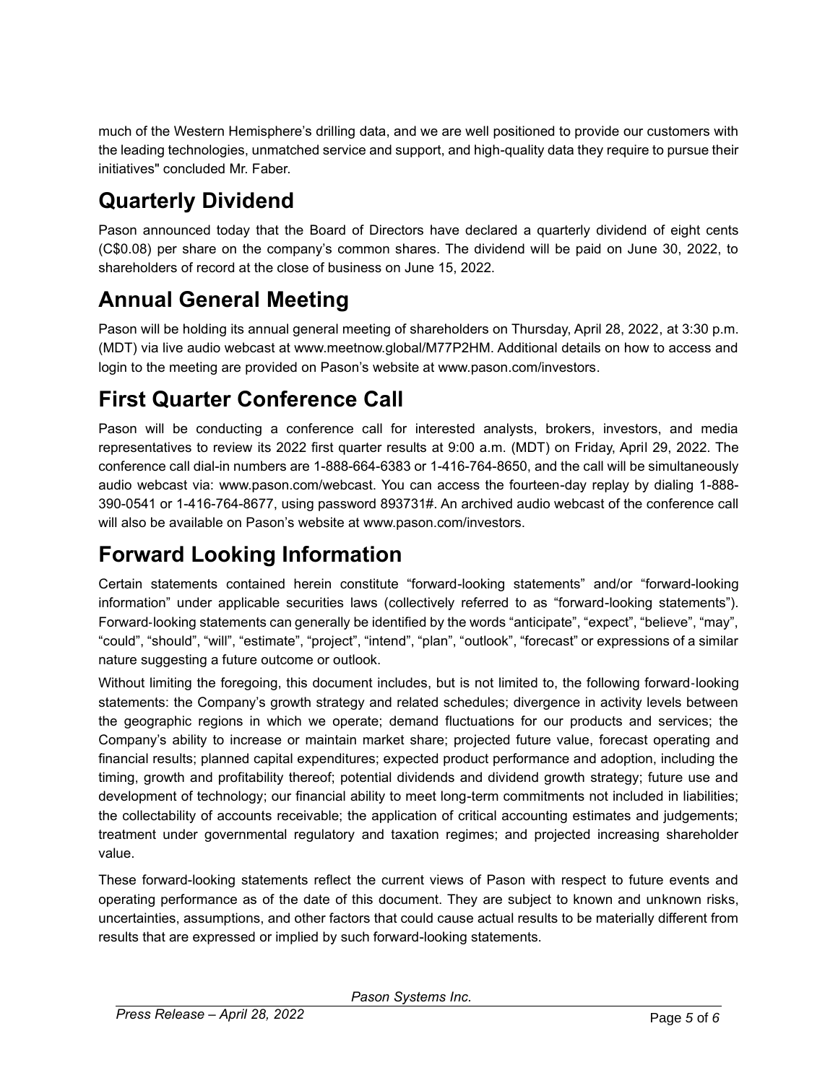much of the Western Hemisphere's drilling data, and we are well positioned to provide our customers with the leading technologies, unmatched service and support, and high-quality data they require to pursue their initiatives" concluded Mr. Faber.

## **Quarterly Dividend**

Pason announced today that the Board of Directors have declared a quarterly dividend of eight cents (C\$0.08) per share on the company's common shares. The dividend will be paid on June 30, 2022, to shareholders of record at the close of business on June 15, 2022.

## **Annual General Meeting**

Pason will be holding its annual general meeting of shareholders on Thursday, April 28, 2022, at 3:30 p.m. (MDT) via live audio webcast at www.meetnow.global/M77P2HM. Additional details on how to access and login to the meeting are provided on Pason's website at www.pason.com/investors.

## **First Quarter Conference Call**

Pason will be conducting a conference call for interested analysts, brokers, investors, and media representatives to review its 2022 first quarter results at 9:00 a.m. (MDT) on Friday, April 29, 2022. The conference call dial-in numbers are 1-888-664-6383 or 1-416-764-8650, and the call will be simultaneously audio webcast via: www.pason.com/webcast. You can access the fourteen-day replay by dialing 1-888- 390-0541 or 1-416-764-8677, using password 893731#. An archived audio webcast of the conference call will also be available on Pason's website at www.pason.com/investors.

## **Forward Looking Information**

Certain statements contained herein constitute "forward-looking statements" and/or "forward-looking information" under applicable securities laws (collectively referred to as "forward-looking statements"). Forward‐looking statements can generally be identified by the words "anticipate", "expect", "believe", "may", "could", "should", "will", "estimate", "project", "intend", "plan", "outlook", "forecast" or expressions of a similar nature suggesting a future outcome or outlook.

Without limiting the foregoing, this document includes, but is not limited to, the following forward‐looking statements: the Company's growth strategy and related schedules; divergence in activity levels between the geographic regions in which we operate; demand fluctuations for our products and services; the Company's ability to increase or maintain market share; projected future value, forecast operating and financial results; planned capital expenditures; expected product performance and adoption, including the timing, growth and profitability thereof; potential dividends and dividend growth strategy; future use and development of technology; our financial ability to meet long-term commitments not included in liabilities; the collectability of accounts receivable; the application of critical accounting estimates and judgements; treatment under governmental regulatory and taxation regimes; and projected increasing shareholder value.

These forward-looking statements reflect the current views of Pason with respect to future events and operating performance as of the date of this document. They are subject to known and unknown risks, uncertainties, assumptions, and other factors that could cause actual results to be materially different from results that are expressed or implied by such forward-looking statements.